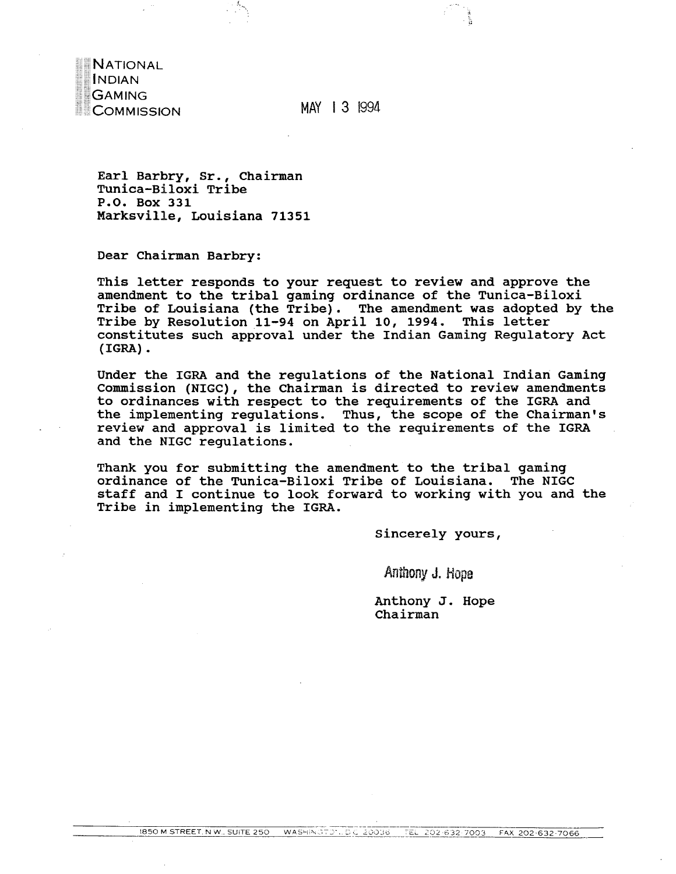**NATIONAL INDIAN GAMING** COMMISSION

MAY 13 1994

Earl Barbry, Sr., Chairman Tunica-Biloxi Tribe P.O. Box 331 Marksville, Louisiana 71351

Dear Chairman Barbry:

This letter responds to your request to review and approve the amendment to the tribal gaming ordinance of the Tunica-Biloxi Tribe of Louisiana (the Tribe). The amendment was adopted by the Tribe by Resolution 11-94 on April 10, 1994. This letter constitutes such approval under the Indian Gaming Regulatory Act  $(IGRA)$ .

Under the IGRA and the regulations of the National Indian Gaming Commission (NIGC), the Chairman is directed to review amendments to ordinances with respect to the requirements of the IGRA and the implementing regulations. Thus, the scope of the Chairman's review and approval is limited to the requirements of the IGRA and the NIGC requlations.

Thank you for submitting the amendment to the tribal gaming ordinance of the Tunica-Biloxi Tribe of Louisiana. The NIGC staff and I continue to look forward to working with you and the Tribe in implementing the IGRA.

Sincerely yours,

Anthony J. Hope

Anthony J. Hope Chairman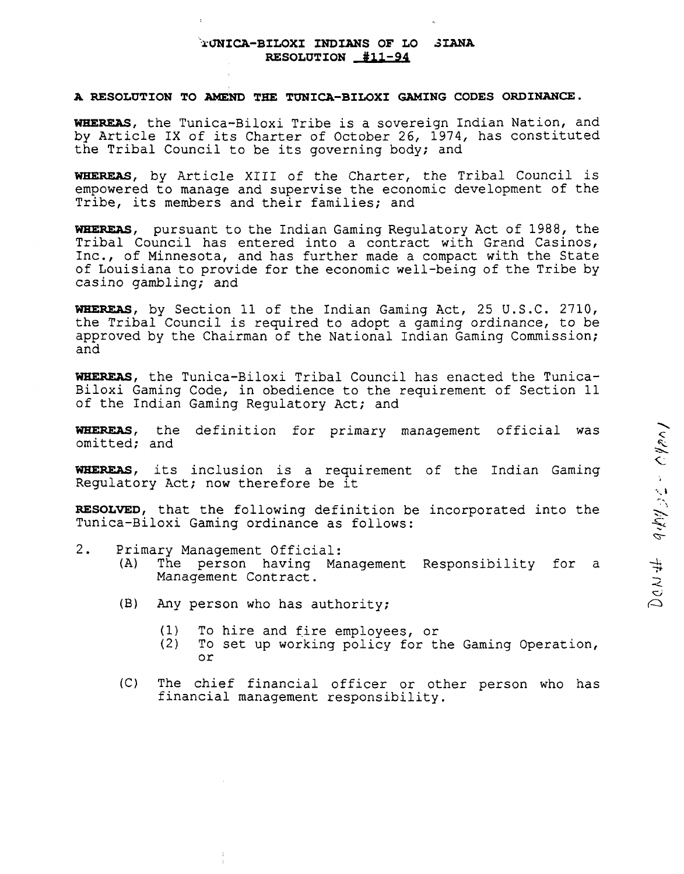## **.~.UNICA-BILOXI 11W LANS OF LO ~ LANA RESOLUTION \*11-94**

## **<sup>A</sup> RESOLUTION TO ~ND THE TtJNICA-BILOXI GAMING CODES ORDINANCE.**

**WHEREAS, the TunicaBiloxi Tribe is <sup>a</sup> sovereign Indian Nation, and by Article IX of its Charter of October 26, 1974, has constituted the Tribal Council to be its governing body; and**

**WHEREAS, by Article XIII of the Charter, the Tribal Council is empowered to manage and supervise the economic development of the Tribe, its members and their families; and**

**WHEREAS, pursuant to the Indian Gaming Regulatory Act of 1988, the Tribal Council has entered into a contract with Grand Casinos, Inc., of Minnesota, and has further made <sup>a</sup> compact with the State of Louisiana to provide for the economic well-being of the Tribe by casino gambling; and**

**WHEREAS, by Section 11 of the Indian Gaming Act, 25 U.S.C. 2710, the Tribal Council is required to adopt <sup>a</sup> gaming ordinance, to be approved by the Chairman of the National Indian Gaming Commission; and**

**WHEREAS, the Tunica-Biloxi Tribal Council has enacted the Tunica Biloxi Gaming Code, in obedience to the requirement of Section <sup>11</sup> of the Indian Gaming Regulatory Act; and**

**WHEREAS, the definition for primary management official was omitted; and**

**WHEREAS, its inclusion is <sup>a</sup> requirement of the Indian Gaming Regulatory Act; now therefore be it**

**RESOLVED, that the following definition be incorporated into the Tunica-Biloxi Gaming ordinance as follows:**

- **2. Primary Management Official:**
	- **(A) The person having Management Responsibility for <sup>a</sup> Management Contract.**
	- **(B) Any person who has authority;**
		- **(1) To hire and fire employees, or**
		- **(2) To set up working policy for the Gaming Operation, or**
	- **(C) The chief financial officer or other person who has financial management responsibility.**